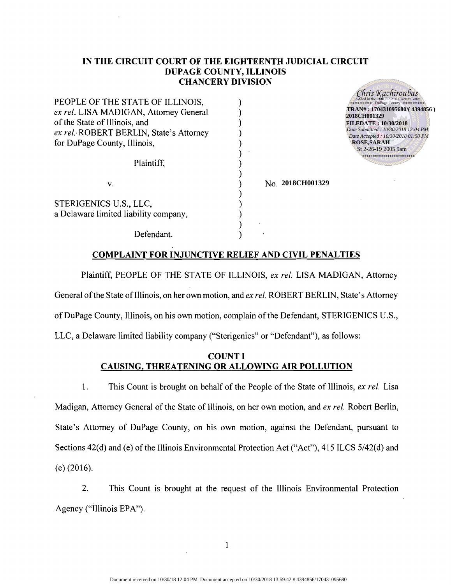### **IN THE CIRCUIT COURT OF THE EIGHTEENTH JUDICIAL CIRCUIT DUPAGl!: COUNTY, ILLINOIS CHANCERY DIVISION**

) ) ) ) ) ) ) ) ) ) ) ) ) )

| PEOPLE OF THE STATE OF ILLINOIS,                                |
|-----------------------------------------------------------------|
| ex rel. LISA MADIGAN, Attorney General                          |
| of the State of Illinois, and                                   |
| ex rel. ROBERT BERLIN, State's Attorney                         |
| for DuPage County, Illinois,                                    |
| Plaintiff,                                                      |
| v.                                                              |
| STERIGENICS U.S., LLC,<br>a Delaware limited liability company, |

Chris Kachiroubas **TRAN# : 170431095680/( 4394856 ) 2018CH001329 FILEDATE : 10/30/2018** *Date Submitted : 10/30/2018 12:04 PM Date Accepted : 10/30/2018 01:58 PM* **ROSE,SARAH** St 2-26-19 2005 9am

Defendant.

# No. **2018CH001329**

**COMPLAINT FOR INJUNCTIVE RELIEF AND CIVIL PENALTIES**

Plaintiff, PEOPLE OF THE STATE OF ILLINOIS, *ex rel.* LISA MADIGAN, Attorney General of the State of Illinois, on her own motion, and *ex rel.* ROBERT BERLIN, State's Attorney of DuPage County, Illinois, on his own motion, complain of the Defendant, STERIGENICS U.S., LLC, a Delaware limited liability company ("Sterigenics" or "Defendant"), as follows:

## COUNT I **CAUSING, THREATENING OR ALLOWING AIR POLLUTION**

1. This Count is brought on behalf of the People of the State of Illinois, *ex rei.* Lisa Madigan, Attorney General of the State of Illinois, on her own motion, and *ex rel.* Robert Berlin, State's Attorney of DuPage County, on his own motion, against the Defendant, pursuant to Sections 42(d) and (e) of the Illinois Environmental Protection Act ("Act"), 415 ILCS 5/42(d) and (e) (2016).

2. This Count is brought at the request of the Illinois Environmental Protection Agency ("Illinois EPA").

I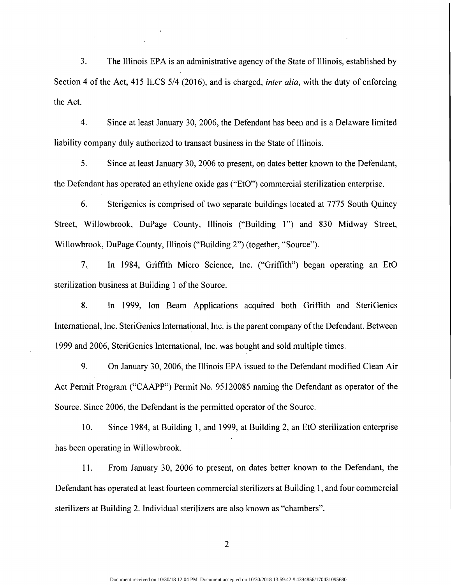3. The Illinois EPA is an administrative agency of the State of Illinois, established by Section 4 of the Act, 415 ILCS 5/4 (2016), and is charged, *inter alia,* with the duty of enforcing the Act.

4. Since at least January 30, 2006, the Defendant has been and is a Delaware limited liability company duly authorized to transact business in the State of Illinois.

5. Since at least January 30, 2006 to present, on dates better known to the Defendant, the Defendant has operated an ethylene oxide gas ("EtO") commercial sterilization enterprise.

6. Sterigenics is comprised of two separate buildings located at 7775 South Quincy Street, Willowbrook, DuPage County, Illinois ("Building 1") and 830 Midway Street, Willowbrook, DuPage County, Illinois ("Building 2") (together, "Source").

7. In 1984, Griffith Micro Science, Inc. ("Griffith") began operating an "EtO sterilization business at Building 1 of the Source.

8. In 1999, Ion Beam Applications acquired both Griffith and SteriGenics International, Inc. SteriGenics International, Inc. is the parent company of the Defendant. Between 1999 and 2006, SteriGenics International, Inc. was bought and sold multiple times.

9. On January 30, 2006, the Illinois EPA issued to the Defendant modified Clean Air Act Permit Program ("CAAPP") Permit No. 95120085 naming the Defendant as operator of the Source. Since 2006, the Defendant is the permitted operator of the Source.

10. Since 1984, at Building 1, and 1999, at Building 2, an EtO sterilization enterprise has been operating in Willowbrook.

11. From January 30, 2006 to present, on dates better known to the Defendant, the Defendant has operated at least fourteen commercial sterilizers at Building 1, and four commercial sterilizers at Building 2. Individual sterilizers are also known as "chambers".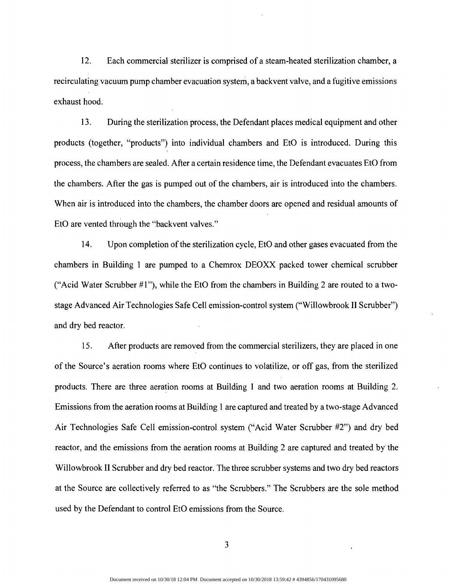12. Each commercial sterilizer is comprised of a steam-heated sterilization chamber, a recirculating vacuum pump chamber evacuation system, a backvent valve, and a fugitive emissions exhaust hood.

13. During the sterilization process, the Defendant places medical equipment and other products (together, "products") into individual chambers and EtO is introduced. During this process, the chambers are sealed. After a certain residence time, the Defendant evacuates EtO from the chambers. After the gas is pumped out of the chambers, air is introduced into the chambers. When air is introduced into the chambers, the chamber doors are opened and residual amounts of EtO are vented through the "backvent valves."

14. Upon completion ofthe sterilization cycle, EtO and other gases evacuated from the chambers in Building 1 are pumped to a Chemrox DEOXX packed tower chemical scrubber ("Acid Water Scrubber  $\#1$ "), while the EtO from the chambers in Building 2 are routed to a twostage Advanced Air Technologies Safe Cell emission-control system ("Willowbrook II Scrubber") and dry bed reactor.

15. After products are removed from the commercial sterilizers, they are placed in one of the Source's aeration rooms where EtO continues to volatilize, or off gas, from the sterilized products. There are three aeration rooms at Building 1 and two aeration rooms at Building 2. Emissions from the aeration rooms at Building 1 are captured and treated by a two-stage Advanced Air Technologies Safe Cell emission-control system ("Acid Water Scrubber #2") and dry bed reactor, and the emissions from the aeration rooms at Building 2 are captured and treated by' the Willowbrook II Scrubber and dry bed reactor. The three scrubber systems and two dry bed reactors at the Source are collectively referred to as "the Scrubbers." The Scrubbers are the sole method used by the Defendant to control EtO emissions from the Source.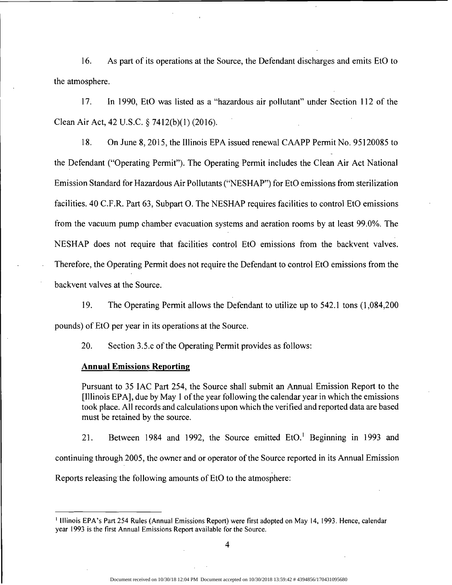16. As part of its operations at the Source, the Defendant discharges and emits EtO to the atmosphere.

17. In 1990, EtO was listed as a "hazardous air pollutant" under Section 112 of the Clean Air Act, 42 U.S.C. § 7412(b)(l) (2016).

18. On June 8,2015, the Illinois EPA issued renewal CAAPP Permit No. 95120085 to the Defendant ("Operating Permit"). The Operating Permit includes the Clean Air Act National Emission Standard for Hazardous Air Pollutants ("NESHAP") for EtO emissions from sterilization facilities. 40 C.F.R. Part 63, Subpart O. The NESHAP requires facilities to control EtO emissions from the vacuum pump chamber evacuation systems and aeration rooms by at least 99.0%. The NESHAP does not require that facilities control EtO emissions from the backvent valves. Therefore, the Operating Permit does not require the Defendant to control EtO emissions from the backvent valves at the Source.

19. The Operating Permit allows the Defendant to utilize up to 542.1 tons (1,084,200) pounds) of EtO per year in its operations at the Source.

20. Section 3.5.c of the Operating Permit provides as follows:

#### **Annual Emissions Reporting**

Pursuant to 35 lAC Part 254, the Source shall submit an Annual Emission Report to the [llIinois EPA], due by May 1 ofthe year following the calendar year in which the emissions took place. All records and calculations upon which the verified and reported data are based must be retained by the source.

21. Between 1984 and 1992, the Source emitted EtO.<sup>1</sup> Beginning in 1993 and continuing through 2005, the owner and or operator of the Source reported in its Annual Emission Reports releasing the following amounts of EtO to the atmosphere:

<sup>I</sup> Illinois EPA's Part 254 Rules (Annual Emissions Report) were first adopted on May 14, 1993. Hence, calendar year 1993 is the first Annual Emissions Report available for the Source.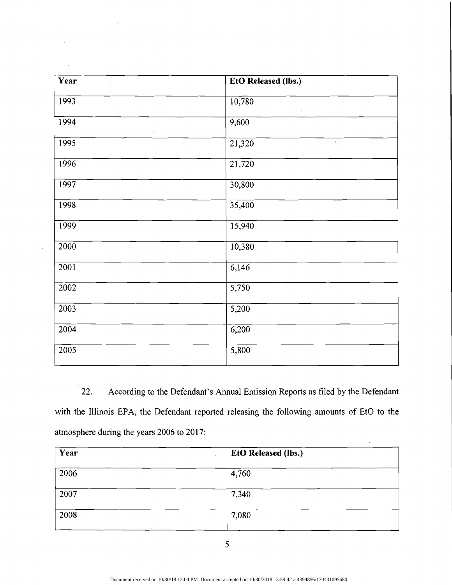| Year              | <b>EtO Released (lbs.)</b> |  |
|-------------------|----------------------------|--|
| 1993              | 10,780                     |  |
| 1994              | 9,600                      |  |
| 1995              | 21,320<br>$\epsilon$       |  |
| 1996              | $\overline{21,720}$        |  |
| 1997              | 30,800                     |  |
| 1998              | 35,400                     |  |
| <b>1999</b>       | 15,940                     |  |
| 2000              | 10,380                     |  |
| 2001              | 6,146                      |  |
| $\sqrt{2002}$     | $\overline{5,750}$         |  |
| $\overline{2003}$ | 5,200                      |  |
| 2004              | 6,200                      |  |
| $\frac{2005}{ }$  | $\sqrt{5,800}$             |  |

22. According to the Defendant's Annual Emission Reports as filed by the Defendant with the Illinois EPA, the Defendant reported releasing the following amounts of EtO to the atmosphere during the years 2006 to 2017:

| Year | <b>EtO Released (lbs.)</b> |  |
|------|----------------------------|--|
| 2006 | 4,760                      |  |
| 2007 | 7,340                      |  |
| 2008 | 7,080                      |  |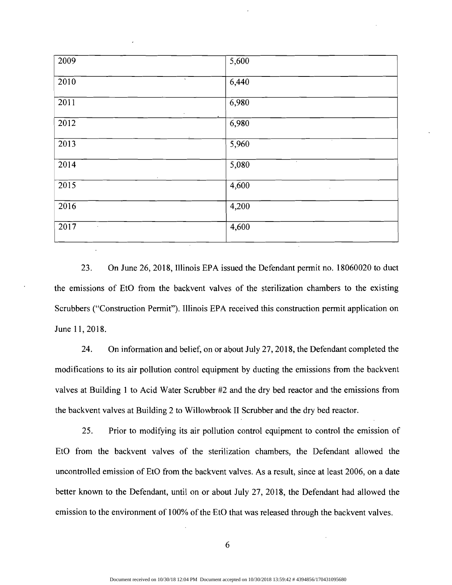| 2009              | 5,600                         |
|-------------------|-------------------------------|
| $\Lambda$<br>2010 | 6,440                         |
| 2011<br>$\sim$    | 6,980                         |
| 2012              | 6,980                         |
| $\overline{2013}$ | $\cdot$<br>$\overline{5,960}$ |
| 2014<br>$\cdot$   | $\sim$<br>5,080               |
| $\overline{2015}$ | 4,600<br>$\sim$               |
| 2016              | 4,200                         |
| 2017<br>$\cdot$   | $\frac{4,600}{ }$             |

23. On June 26, 2018, Illinois EPA issued the Defendant permit no. 18060020 to duct the emissions of EtO from the backvent valves of the sterilization chambers to the existing Scrubbers ("Construction Permit"), Illinois EPA received this construction permit application on June 11,2018.

24. On information and belief, on or about July 27, 2018, the Defendant completed the modifications to its air pollution control equipment by ducting the emissions from the backvent valves at Building 1 to Acid Water Scrubber #2 and the dry bed reactor and the emissions from the backvent valves at Building 2 to Willowbrook II Scrubber and the dry bed reactor.

25. Prior to modifying its air pollution control equipment to control the emission of EtO from the backvent valves of the sterilization chambers, the Defendant allowed the uncontrolled emission of EtO from the backvent valves. As a result, since at least 2006, on a date better known to the Defendant, until on or about July 27, 2018, the Defendant had allowed the emission to the environment of 100% of the EtO that was released through the backvent valves.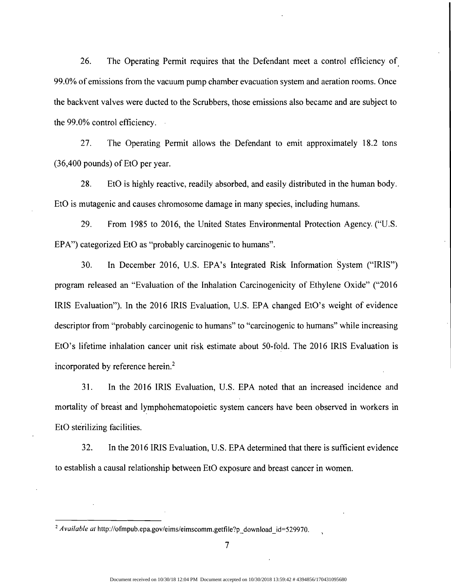26. The Operating Permit requires that the Defendant meet a control efficiency of. 99.0% of emissions from the vacuum pump chamber evacuation system and aeration rooms. Once the backvent valves were ducted to the Scrubbers, those emissions also became and are subject to the 99.0% control efficiency.

27. The Operating Permit allows the Defendant to emit approximately 18.2 tons (36,400 pounds) of EtO per year.

28. EtO is highly reactive, readily absorbed, and easily distributed in the human body. EtO is mutagenic and causes chromosome damage in many species, including humans.

29. From 1985 to 2016, the United States Environmental Protection Agency. ("U.S. EPA") categorized EtO as "probably carcinogenic to humans".

30. In December 2016, U.S. EPA's Integrated Risk Information System ("IRIS") program released an "Evaluation of the Inhalation Carcinogenicity of Ethylene Oxide" ("2016 IRIS Evaluation"). In the 2016 IRIS Evaluation, U.S. EPA changed EtO's weight of evidence descriptor from "probably carcinogenic to humans" to "carcinogenic to humans" while increasing EtO's lifetime inhalation cancer unit risk estimate about 50-fold. The 2016 IRIS Evaluation is incorporated by reference herein.?

31. In the 2016 IRIS Evaluation, U.S. EPA noted that an increased incidence and mortality of breast and lymphohematopoietic system cancers have been observed in workers in EtO sterilizing facilities.

32. In the 2016 IRIS Evaluation, U.S. EPA determined that there is sufficient evidence to establish a causal relationship between EtO exposure and breast cancer in women.

<sup>&</sup>lt;sup>2</sup> *Available at* http://ofmpub.epa.gov/eims/eimscomm.getfile?p download id=529970.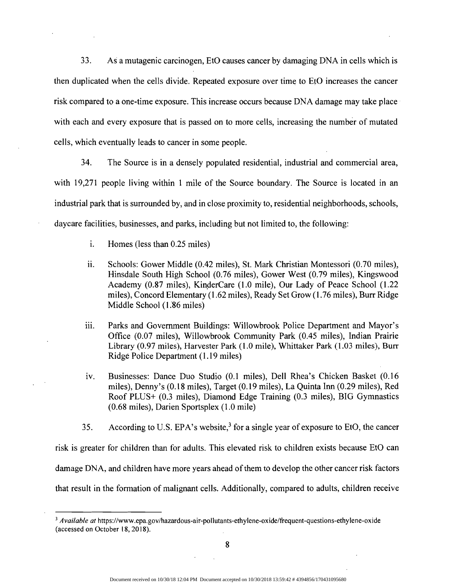33. As a mutagenic carcinogen, EtO causes cancer by damaging DNA in cells which is then duplicated when the cells divide. Repeated exposure over time to EtO increases the cancer risk compared to a one-time exposure. This increase occurs because DNA damage may take place with each and every exposure that is passed on to more cells, increasing the number of mutated cells, which eventually leads to cancer in some people.

34. The Source is in a densely populated residential, industrial and commercial area, with 19,271 people living within 1 mile of the Source boundary. The Source is located in an industrial park that is surrounded by, and in close proximity to, residential neighborhoods, schools, daycare facilities, businesses, and parks, including but not limited to, the following:

- 1. Homes (less than 0.25 miles)
- ii. Schools: Gower Middle (0.42 miles), St. Mark Christian Montessori (0.70 miles), Hinsdale South High School (0.76 miles), Gower West (0.79 miles), Kingswood Academy (0.87 miles), KinderCare (1.0 mile), Our Lady of Peace School (1.22 miles), Concord Elementary (1.62 miles), Ready Set Grow (1.76 miles), Burr Ridge Middle School (1:86 miles)
- iii. Parks and Government Buildings: Willowbrook Police Department and Mayor's Office (0.07 miles), Willowbrook Community Park (0.45 miles), Indian Prairie Library (0.97 miles), Harvester Park (1.0 mile), Whittaker Park (1.03 miles), Burr Ridge Police Department (1.19 miles)
- iv. Businesses: Dance Duo Studio (0.1 miles), Dell Rhea's Chicken Basket (0.16 miles), Denny's (0.18 miles), Target (0.19 miles), La Quinta Inn (0.29 miles), Red Roof PLUS+ (0.3 miles), Diamond Edge Training (0.3 miles), BIG Gymnastics (0.68 miles), Darien Sportsplex (1.0 mile)
- 35. According to U.S. EPA's website,  $3$  for a single year of exposure to EtO, the cancer

risk is greater for children than for adults. This elevated risk to children exists because EtO can damage DNA, and children have more years ahead of them to develop the other cancer risk factors that result in the formation of malignant cells. Additionally, compared to adults, children receive

*<sup>3</sup> Available at* https://www.epa.gov/hazardous-air-pollutants-ethylene-oxide/frequent-questions-ethylene-oxide (accessed on October 18,2018).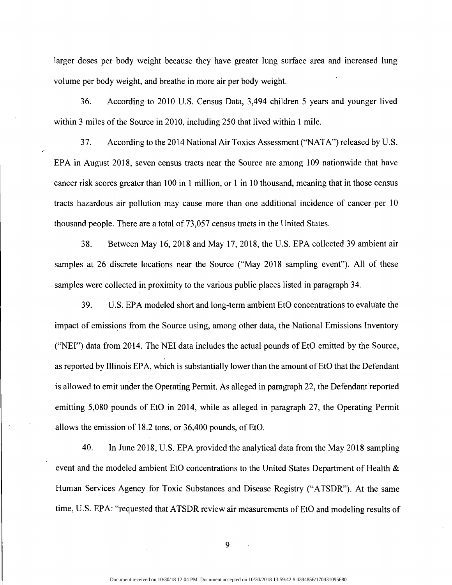larger doses per body weight because they have greater lung surface area and increased lung volume per body weight, and breathe in more air per body weight.

36. According to 2010 U.S. Census Data, 3,494 children 5 years and younger lived within 3 miles of the Source in 2010, including 250 that lived within 1 mile.

37. According to the 2014 National Air Toxics Assessment ("NATA") released by U.S. EPA in August 2018, seven census tracts near the Source are among 109 nationwide that have cancer risk scores greater than 100 in 1 million, or 1 in 10 thousand, meaning that in those census tracts hazardous air pollution may cause more than one additional incidence of cancer per 10 thousand people. There are a total of 73,057 census tracts in the United States.

38. Between May 16,2018 and May 17,2018, the U.S. EPA collected 39 ambient air samples at 26 discrete locations near the Source ("May 2018 sampling event"). All of these samples were collected in proximity to the various public places listed in paragraph 34.

39. U.S. EPA modeled short and long-term ambient EtO concentrations to evaluate the impact of emissions from the Source using, among other data, the National Emissions Inventory ("NEI") data from 2014. The NEI data includes the actual pounds of EtO emitted by the Source, as reported by Illinois EPA, which is substantially lower than the amount of EtO that the Defendant is allowed to emit under the Operating Permit. As alleged in paragraph 22, the Defendant reported emitting 5,080 pounds of EtO in 2014, while as alleged in paragraph 27, the Operating Permit allows the emission of  $18.2$  tons, or  $36,400$  pounds, of EtO.

40. In June 2018, U.S. EPA provided the analytical data from the May 2018 sampling event and the modeled ambient EtO concentrations to the United States Department of Health & Human Services Agency for Toxic Substances and Disease Registry ("ATSDR"). At the same time, U.S. EPA: "requested that ATSDR review air measurements of EtO and modeling results of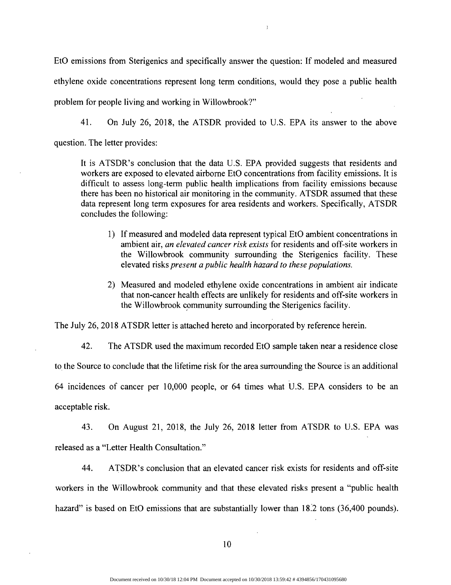EtO emissions from Sterigenics and specifically answer the question: If modeled and measured ethylene oxide concentrations represent long term conditions, would they pose a public health problem for people living and working in Willowbrook?"

 $\overline{)}$ 

41. On July 26, 2018, the ATSDR provided to U.S. EPA its answer to the above question. The letter provides:

It is ATSDR's conclusion that the data U.S. EPA provided suggests that residents and workers are exposed to elevated airborne EtO concentrations from facility emissions. It is difficult to assess long-term public health implications from facility emissions because there has been no historical air monitoring in the community. ATSDR assumed that these data represent long term exposures for area residents and workers. Specifically, ATSDR concludes the following:

- 1) If measured and modeled data represent typical EtO ambient concentrations in ambient air, *an elevated cancer risk exists* for residents and off-site workers in the Willowbrook community surrounding the Sterigenics facility. These elevated risks *present a public health hazard to these populations.*
- 2) Measured and modeled ethylene oxide concentrations in ambient air indicate that non-cancer health effects are unlikely for residents and off-site workers in the Willowbrook community surrounding the Sterigenics facility.

The July 26, 2018 ATSDR letter is attached hereto and incorporated by reference herein.

42. The ATSDR used the maximum recorded EtO sample taken near a residence close to the Source to conclude that the lifetime risk for the area surrounding the Source is an additional 64 incidences of cancer per 10,000 people, or 64 times what U.S. EPA considers to be an acceptable risk.

43. On August 21, 2018, the July 26, 2018 letter from ATSDR to U.S. EPA was released as a "Letter Health Consultation."

44. ATSDR's conclusion that an elevated cancer risk exists for residents and off-site workers in the Willowbrook community and that these elevated risks present a "public health hazard" is based on EtO emissions that are substantially lower than 18.2 tons (36,400 pounds).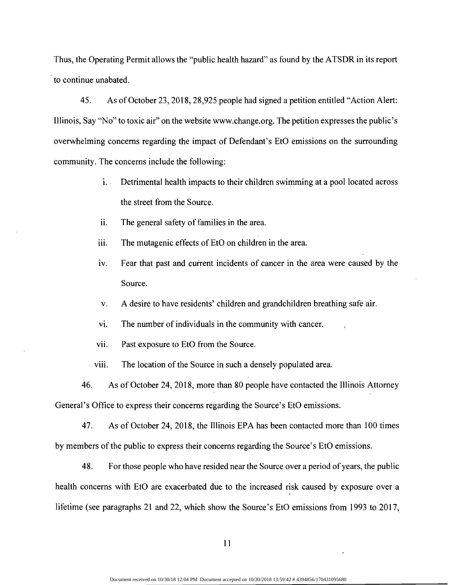Thus, the Operating Permit allows the "public health hazard" as found by the ATSDR in its report to continue unabated.

45. As of October 23, 2018, 28,925 people had signed a petition entitled "Action Alert: Illinois, Say "No" to toxic air" on the website www.change.org. The petition expresses the public's overwhelming concerns regarding the impact of Defendant's EtO emissions on the surrounding community. The concerns include the following:

- i. Detrimental health impacts to their children swimming at a pool located across the street from the Source.
- ii. The general safety of families in the area.
- iii. The mutagenic effects of EtO on children in the area.
- iv. Fear that past and current incidents of cancer in the area were caused by the Source.
- v. A desire to have residents' children and grandchildren breathing safe air.
- vi. The number of individuals in the community with cancer.
- vii. Past exposure to EtO from the Source.
- viii. The location of the Source in such a densely populated area.

46. As of October 24, 2018, more than 80 people have contacted the Illinois Attorney General's Office to express their concerns regarding the Source's EtO emissions.

47. As of October 24, 2018, the Illinois EPA has been contacted more than 100 times by members of the public to express their concerns regarding the Source's EtO emissions.

48. For those people who have resided near the Source over a period of years, the public health concerns with EtO are exacerbated due to the increased risk caused by exposure over a lifetime (see paragraphs 21 and 22, which show the Source's EtO emissions from 1993 to 2017,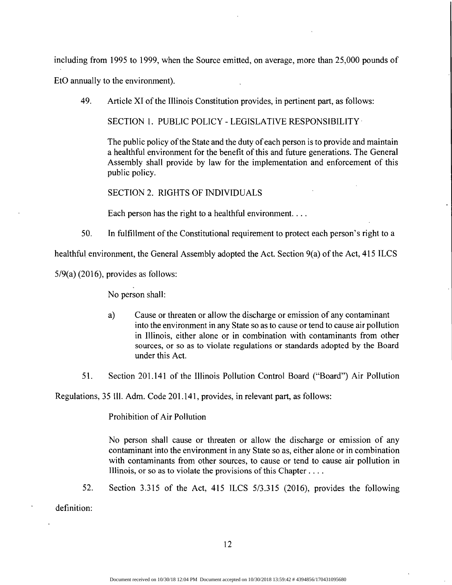including from 1995 to 1999, when the Source emitted, on average, more than 25,000 pounds of

EtO annually to the environment).

49. Article XI of the Illinois Constitution provides, in pertinent part, as follows:

SECTION 1. PUBLIC POLICY - LEGISLATIVE RESPONSIBILITY

The public policy of the State and the duty of each person is to provide and maintain a healthful environment for the benefit of this and future generations. The General Assembly shall provide by law for the implementation and enforcement of this public policy.

SECTION 2. RIGHTS OF INDIVIDUALS

Each person has the right to a healthful environment....

50. In fulfillment of the Constitutional requirement to protect each person's right to a

healthful environment, the General Assembly adopted the Act. Section  $9(a)$  of the Act, 415 ILCS

 $5/9(a)$  (2016), provides as follows:

No person shall:

- a) Cause or threaten or allow the discharge or emission of any contaminant into the environment in any State so as to cause or tend to cause air pollution in Illinois, either alone or in combination with contaminants from other sources, or so as to violate regulations or standards adopted by the Board under this Act.
- 51. Section 201.141 of the Illinois Pollution Control Board ("Board") Air Pollution

Regulations, 35 Ill. Adm. Code 201.141, provides, in relevant part, as follows:

Prohibition of Air Pollution

No person shall cause or threaten or allow the discharge or emission of any contaminant into the environment in any State so as, either alone or in combination with contaminants from other sources, to cause or tend to cause air pollution in Illinois, or so as to violate the provisions of this Chapter ....

52. Section 3.315 of the Act, 415 ILCS 5/3.315 (2016), provides the following

definition: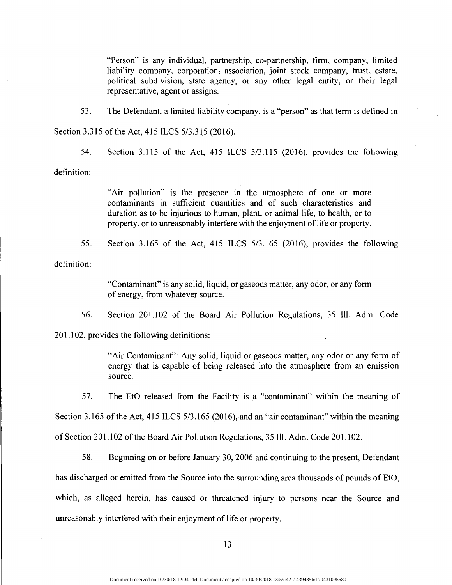"Person" is any individual, partnership, co-partnership, firm, company, limited liability company, corporation, association, joint stock company, trust, estate, political subdivision, state agency, or any other legal entity, or their legal representative, agent or assigns.

53. The Defendant, a limited liability company, is a "person" as that term is defined in Section 3.315 of the Act, 415 ILCS 5/3.315 (2016).

54. Section 3.115 of the Act, 415 ILCS 5/3.115 (2016), provides the following

definition:

"Air pollution" is the presence in the atmosphere of one or more contaminants in sufficient quantities and of such characteristics and duration as to be injurious to human, plant, or animal life, to health, or to property, or to unreasonably interfere with the enjoyment of life or property.

55. Section 3.165 of the Act, 415 ILCS 5/3.165 (2016), provides the following definition:

> "Contaminant" is any solid, liquid, or gaseous matter, any odor, or any form of energy, from whatever source.

56. Section 201.102 of the Board Air Pollution Regulations, 35 **Ill.** Adm. Code

201.102, provides the following definitions:

"Air Contaminant": Any solid, liquid or gaseous matter, any odor or any form of energy that is capable of being released into the atmosphere from an emission source.

57. The EtO released from the Facility is a "contaminant" within the meaning of

Section 3.165 of the Act, 415 ILCS 5/3.165 (2016), and an "air contaminant" within the meaning

of Section 201.102 of the Board Air Pollution Regulations, 35 Ill. Adm. Code 201.102.

58. Beginning on or before January 30, 2006 and continuing to the present, Defendant has discharged or emitted from the Source into the surrounding area thousands of pounds of EtO, which, as alleged herein, has caused or threatened injury to persons near the Source and unreasonably interfered with their enjoyment of life or property.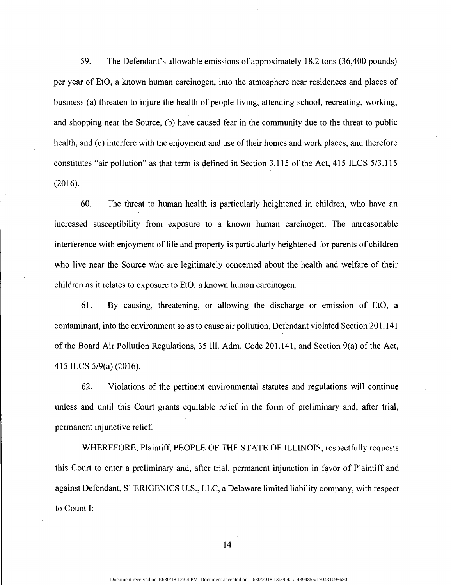59. The Defendant's allowable emissions of approximately 18.2 tons (36,400 pounds) per year of EtO, a known human carcinogen, into the atmosphere near residences and places of business (a) threaten to injure the health of people living, attending school, recreating, working, and shopping near the Source, (b) have caused fear in the community due to the threat to public health, and (c) interfere with the enjoyment and use of their homes and work places, and therefore constitutes "air pollution" as that term is defined in Section 3.115 of the Act, 415 ILCS 5/3.115 (2016).

The threat to human health is particularly heightened in children, who have an 60. increased susceptibility from exposure to a known human carcinogen. The unreasonable interference with enjoyment of life and property is particularly heightened for parents of children who live near the Source who are legitimately concerned about the health and welfare of their children as it relates to exposure to EtO, a known human carcinogen.

61. By causing, threatening, or allowing the discharge or emission of EtO, a contaminant, into the environment so as to cause air pollution, Defendant violated Section 201.141 of the Board Air Pollution Regulations, 35 Ill. Adm. Code 201.141, and Section 9(a) of the Act, 415 ILCS 5/9(a) (2016).

62. Violations of the pertinent environmental statutes and regulations will continue unless and until this Court grants equitable relief in the form of preliminary and, after trial, permanent injunctive relief.

WHEREFORE, Plaintiff, PEOPLE OF THE STATE OF ILLINOIS, respectfully requests this Court to enter a preliminary and, after trial, permanent injunction in favor of Plaintiff and against Defendant, STERIGENICS U.S., LLC, a Delaware limited liability company, with respect to Count I: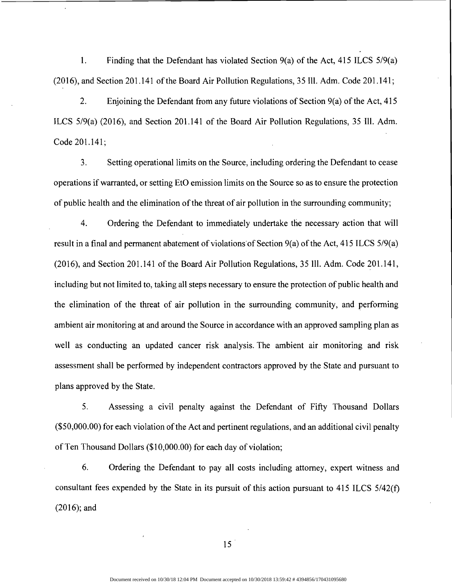1. Finding that the Defendant has violated Section 9(a) of the Act, 415 ILCS 5/9(a)  $(2016)$ , and Section 201.141 of the Board Air Pollution Regulations, 35 Ill. Adm. Code 201.141;

2. Enjoining the Defendant from any future violations of Section  $9(a)$  of the Act, 415 ILCS 5/9(a) (2016), and Section 201.141 of the Board Air Pollution Regulations, 35 Ill. Adm. Code 201.141;

3. Setting operational limits on the Source, including ordering the Defendant to cease operations if warranted, or setting EtO emission limits on the Source so as to ensure the protection of public health and the elimination of the threat of air pollution in the surrounding community;

4. Ordering the Defendant to immediately undertake the necessary action that will result in a final and permanent abatement of violations of Section  $9(a)$  of the Act, 415 ILCS  $5/9(a)$ (2016), and Section 201.141 of the Board Air Pollution Regulations, 35 Ill. Adm. Code 201.141, including but not limited to, taking all steps necessary to ensure the protection of public health and the elimination of the threat of air pollution in the surrounding community, and performing ambient air monitoring at and around the Source in accordance with an approved sampling plan as well as conducting an updated cancer risk analysis. The ambient air monitoring and risk assessment shall be performed by independent contractors approved by the State and pursuant to plans approved by the State.

5. Assessing a civil penalty against the Defendant of Fifty Thousand Dollars  $($50,000.00)$  for each violation of the Act and pertinent regulations, and an additional civil penalty of Ten Thousand Dollars (\$10,000.00) for each day of violation;

6. Ordering the Defendant to pay all costs including attorney, expert witness and consultant fees expended by the State in its pursuit of this action pursuant to 415 ILCS 5/42(f) (2016); and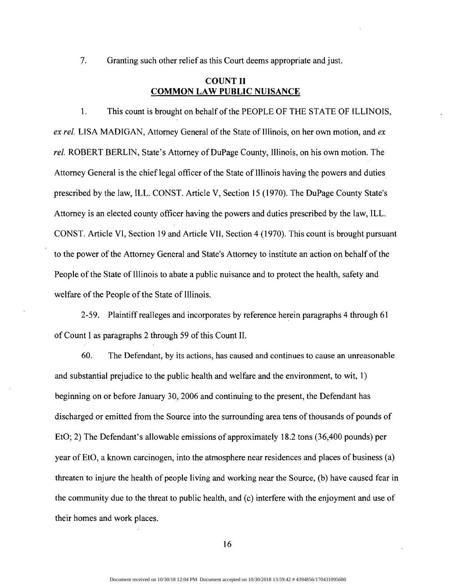7. Granting such other relief as this Court deems appropriate and just.

#### COUNT II **COMMON LAW PUBLIC NUISANCE**

1. This count is brought on behalf of the PEOPLE OF THE STATE OF ILLINOIS, *ex rel.* LISA MADIGAN, Attorney General of the State of Illinois, on her own motion, and *ex* rel. ROBERT BERLIN, State's Attorney of DuPage County, Illinois, on his own motion. The Attorney General is the chief legal officer of the State of Illinois having the powers and duties prescribed by the law, ILL. CONST. Article V, Section 15 (1970). The DuPage County State's Attorney is an elected county officer having the powers and duties prescribed by the law, ILL. CONST. Article VI, Section 19 and Article VII, Section 4 (1970). This count is brought pursuant to the power of the Attorney General and State's Attorney to institute an action on behalf ofthe People of the State of Illinois to abate a public nuisance and to protect the health, safety and welfare of the People of the State of Illinois.

2-59. Plaintiff realleges and incorporates by reference herein paragraphs 4 through 61 of Count I as paragraphs 2 through 59 of this Count II.

60. The Defendant, by its actions, has caused and continues to cause an unreasonable and substantial prejudice to the public health and welfare and the environment, to wit, 1) beginning on or before January 30, 2006 and continuing to the present, the Defendant has discharged or emitted from the Source into the surrounding area tens of thousands of pounds of EtO; 2) The Defendant's allowable emissions of approximately 18.2 tons (36,400 pounds) per year of EtO, a known carcinogen, into the atmosphere near residences and places of business (a) threaten to injure the health of people living and working near the Source, (b) have caused fear in the community due to the threat to public health, and (c) interfere with the enjoyment and use of their homes and work places.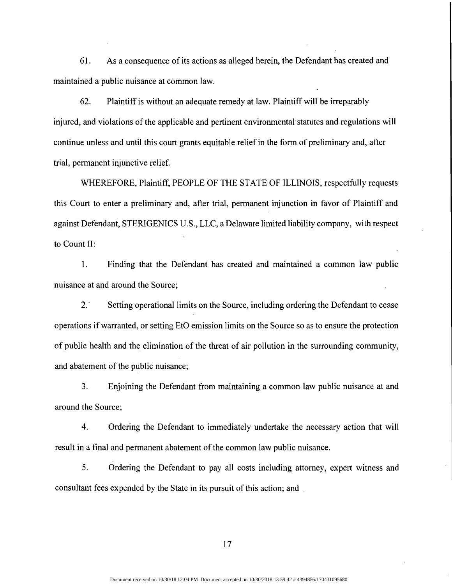61. As a consequence ofits actions as alleged herein, the Defendant has created and maintained a public nuisance at common law.

62. Plaintiff is without an adequate remedy at law. Plaintiff will be irreparably injured, and violations of the applicable and pertinent environmental statutes and regulations will continue unless and until this court grants equitable relief in the form of preliminary and, after trial, permanent injunctive relief.

WHEREFORE, Plaintiff, PEOPLE OF THE STATE OF ILLINOIS, respectfully requests this Court to enter a preliminary and, after trial, permanent injunction in favor of Plaintiff and against Defendant, STERIGENICS U.S., LLC, a Delaware limited liability company, with respect to Count II:

1. Finding that the Defendant has created and maintained a common law public nuisance at and around the Source;

2. Setting operational limits on the Source, including ordering the Defendant to cease operations if warranted, or setting EtO emission limits on the Source so as to ensure the protection of public health and the elimination of the threat of air pollution in the surrounding community, and abatement of the public nuisance;

3. Enjoining the Defendant from maintaining a common law public nuisance at and around the Source;

4. Ordering the Defendant to immediately undertake the necessary action that will result in a final and permanent abatement of the common law public nuisance.

5. Ordering the Defendant to pay all costs including attorney, expert witness and consultant fees expended by the State in its pursuit of this action; and